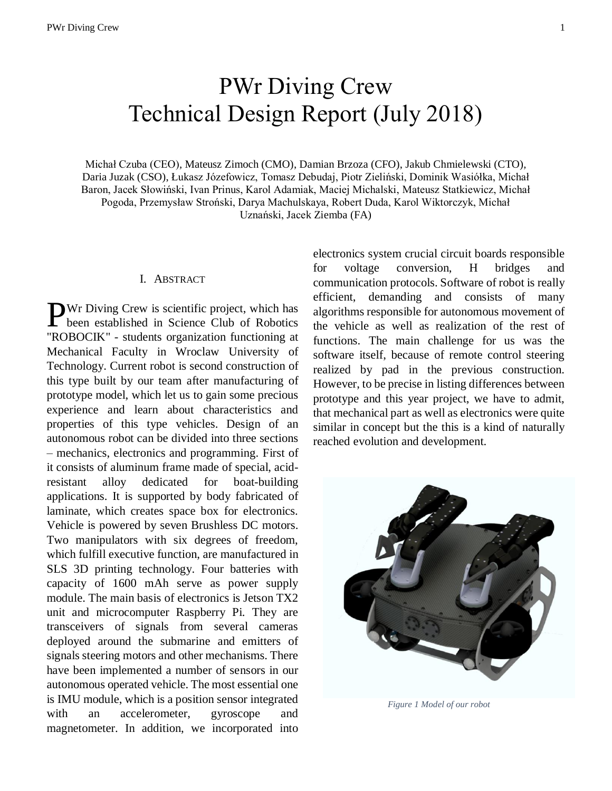# PWr Diving Crew Technical Design Report (July 2018)

Michał Czuba (CEO)*,* Mateusz Zimoch (CMO), Damian Brzoza (CFO), Jakub Chmielewski (CTO)*,*  Daria Juzak (CSO), Łukasz Józefowicz, Tomasz Debudaj, Piotr Zieliński, Dominik Wasiółka, Michał Baron, Jacek Słowiński, Ivan Prinus, Karol Adamiak, Maciej Michalski, Mateusz Statkiewicz, Michał Pogoda, Przemysław Stroński, Darya Machulskaya, Robert Duda, Karol Wiktorczyk, Michał Uznański, Jacek Ziemba (FA)

#### I. ABSTRACT

Wr Diving Crew is scientific project, which has **PWr Diving Crew is scientific project, which has been established in Science Club of Robotics** "ROBOCIK" - students organization functioning at Mechanical Faculty in Wroclaw University of Technology. Current robot is second construction of this type built by our team after manufacturing of prototype model, which let us to gain some precious experience and learn about characteristics and properties of this type vehicles. Design of an autonomous robot can be divided into three sections – mechanics, electronics and programming. First of it consists of aluminum frame made of special, acidresistant alloy dedicated for boat-building applications. It is supported by body fabricated of laminate, which creates space box for electronics. Vehicle is powered by seven Brushless DC motors. Two manipulators with six degrees of freedom, which fulfill executive function, are manufactured in SLS 3D printing technology. Four batteries with capacity of 1600 mAh serve as power supply module. The main basis of electronics is Jetson TX2 unit and microcomputer Raspberry Pi. They are transceivers of signals from several cameras deployed around the submarine and emitters of signals steering motors and other mechanisms. There have been implemented a number of sensors in our autonomous operated vehicle. The most essential one is IMU module, which is a position sensor integrated with an accelerometer, gyroscope and magnetometer. In addition, we incorporated into

electronics system crucial circuit boards responsible for voltage conversion, H bridges and communication protocols. Software of robot is really efficient, demanding and consists of many algorithms responsible for autonomous movement of the vehicle as well as realization of the rest of functions. The main challenge for us was the software itself, because of remote control steering realized by pad in the previous construction. However, to be precise in listing differences between prototype and this year project, we have to admit, that mechanical part as well as electronics were quite similar in concept but the this is a kind of naturally reached evolution and development.



*Figure 1 Model of our robot*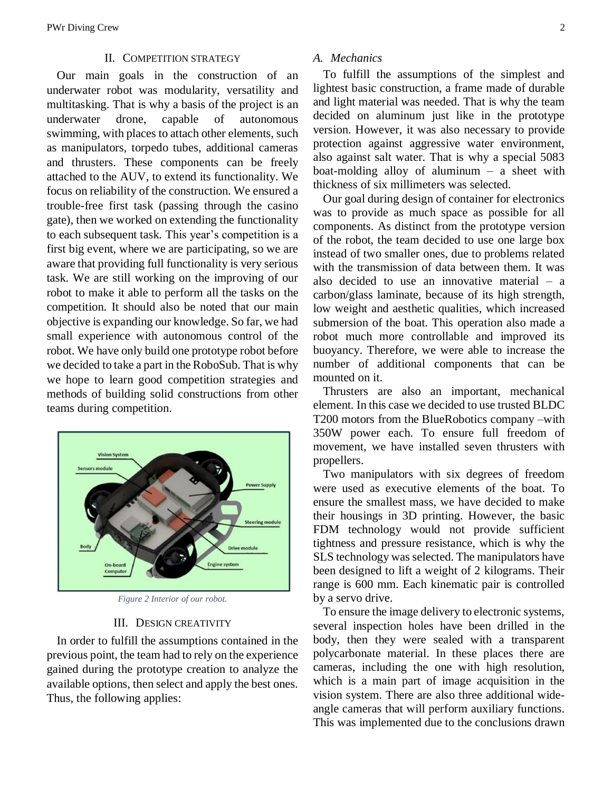#### II. COMPETITION STRATEGY

Our main goals in the construction of an underwater robot was modularity, versatility and multitasking. That is why a basis of the project is an underwater drone, capable of autonomous swimming, with places to attach other elements, such as manipulators, torpedo tubes, additional cameras and thrusters. These components can be freely attached to the AUV, to extend its functionality. We focus on reliability of the construction. We ensured a trouble-free first task (passing through the casino gate), then we worked on extending the functionality to each subsequent task. This year's competition is a first big event, where we are participating, so we are aware that providing full functionality is very serious task. We are still working on the improving of our robot to make it able to perform all the tasks on the competition. It should also be noted that our main objective is expanding our knowledge. So far, we had small experience with autonomous control of the robot. We have only build one prototype robot before we decided to take a part in the RoboSub. That is why we hope to learn good competition strategies and methods of building solid constructions from other teams during competition.



*Figure 2 Interior of our robot.*

## III. DESIGN CREATIVITY

In order to fulfill the assumptions contained in the previous point, the team had to rely on the experience gained during the prototype creation to analyze the available options, then select and apply the best ones. Thus, the following applies:

#### *A. Mechanics*

To fulfill the assumptions of the simplest and lightest basic construction, a frame made of durable and light material was needed. That is why the team decided on aluminum just like in the prototype version. However, it was also necessary to provide protection against aggressive water environment, also against salt water. That is why a special 5083 boat-molding alloy of aluminum – a sheet with thickness of six millimeters was selected.

Our goal during design of container for electronics was to provide as much space as possible for all components. As distinct from the prototype version of the robot, the team decided to use one large box instead of two smaller ones, due to problems related with the transmission of data between them. It was also decided to use an innovative material – a carbon/glass laminate, because of its high strength, low weight and aesthetic qualities, which increased submersion of the boat. This operation also made a robot much more controllable and improved its buoyancy. Therefore, we were able to increase the number of additional components that can be mounted on it.

Thrusters are also an important, mechanical element. In this case we decided to use trusted BLDC T200 motors from the BlueRobotics company –with 350W power each. To ensure full freedom of movement, we have installed seven thrusters with propellers.

Two manipulators with six degrees of freedom were used as executive elements of the boat. To ensure the smallest mass, we have decided to make their housings in 3D printing. However, the basic FDM technology would not provide sufficient tightness and pressure resistance, which is why the SLS technology was selected. The manipulators have been designed to lift a weight of 2 kilograms. Their range is 600 mm. Each kinematic pair is controlled by a servo drive.

To ensure the image delivery to electronic systems, several inspection holes have been drilled in the body, then they were sealed with a transparent polycarbonate material. In these places there are cameras, including the one with high resolution, which is a main part of image acquisition in the vision system. There are also three additional wideangle cameras that will perform auxiliary functions. This was implemented due to the conclusions drawn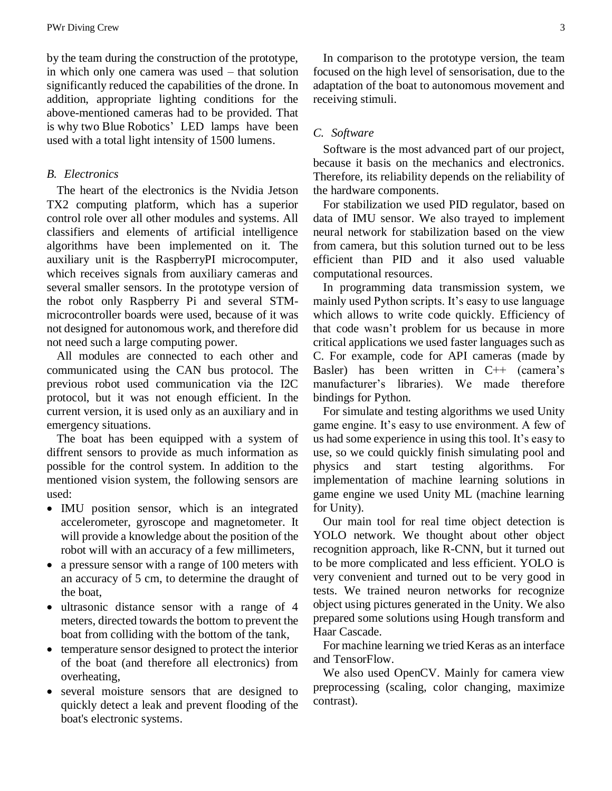by the team during the construction of the prototype, in which only one camera was used – that solution significantly reduced the capabilities of the drone. In addition, appropriate lighting conditions for the above-mentioned cameras had to be provided. That is why two Blue Robotics' LED lamps have been used with a total light intensity of 1500 lumens.

### *B. Electronics*

The heart of the electronics is the Nvidia Jetson TX2 computing platform, which has a superior control role over all other modules and systems. All classifiers and elements of artificial intelligence algorithms have been implemented on it. The auxiliary unit is the RaspberryPI microcomputer, which receives signals from auxiliary cameras and several smaller sensors. In the prototype version of the robot only Raspberry Pi and several STMmicrocontroller boards were used, because of it was not designed for autonomous work, and therefore did not need such a large computing power.

All modules are connected to each other and communicated using the CAN bus protocol. The previous robot used communication via the I2C protocol, but it was not enough efficient. In the current version, it is used only as an auxiliary and in emergency situations.

The boat has been equipped with a system of diffrent sensors to provide as much information as possible for the control system. In addition to the mentioned vision system, the following sensors are used:

- IMU position sensor, which is an integrated accelerometer, gyroscope and magnetometer. It will provide a knowledge about the position of the robot will with an accuracy of a few millimeters,
- a pressure sensor with a range of 100 meters with an accuracy of 5 cm, to determine the draught of the boat,
- ultrasonic distance sensor with a range of 4 meters, directed towards the bottom to prevent the boat from colliding with the bottom of the tank,
- temperature sensor designed to protect the interior of the boat (and therefore all electronics) from overheating,
- several moisture sensors that are designed to quickly detect a leak and prevent flooding of the boat's electronic systems.

In comparison to the prototype version, the team focused on the high level of sensorisation, due to the adaptation of the boat to autonomous movement and receiving stimuli.

#### *C. Software*

Software is the most advanced part of our project, because it basis on the mechanics and electronics. Therefore, its reliability depends on the reliability of the hardware components.

For stabilization we used PID regulator, based on data of IMU sensor. We also trayed to implement neural network for stabilization based on the view from camera, but this solution turned out to be less efficient than PID and it also used valuable computational resources.

In programming data transmission system, we mainly used Python scripts. It's easy to use language which allows to write code quickly. Efficiency of that code wasn't problem for us because in more critical applications we used faster languages such as C. For example, code for API cameras (made by Basler) has been written in C++ (camera's manufacturer's libraries). We made therefore bindings for Python.

For simulate and testing algorithms we used Unity game engine. It's easy to use environment. A few of us had some experience in using this tool. It's easy to use, so we could quickly finish simulating pool and physics and start testing algorithms. For implementation of machine learning solutions in game engine we used Unity ML (machine learning for Unity).

Our main tool for real time object detection is YOLO network. We thought about other object recognition approach, like R-CNN, but it turned out to be more complicated and less efficient. YOLO is very convenient and turned out to be very good in tests. We trained neuron networks for recognize object using pictures generated in the Unity. We also prepared some solutions using Hough transform and Haar Cascade.

For machine learning we tried Keras as an interface and TensorFlow.

We also used OpenCV. Mainly for camera view preprocessing (scaling, color changing, maximize contrast).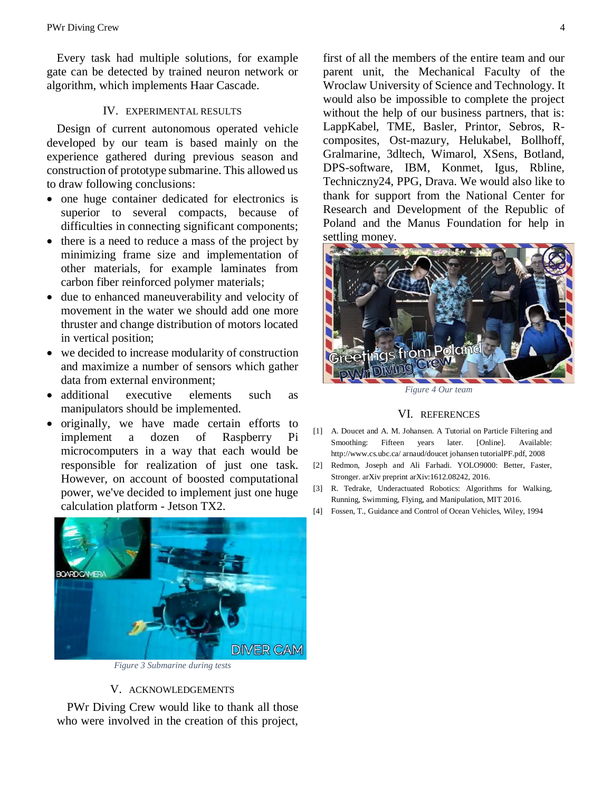Every task had multiple solutions, for example gate can be detected by trained neuron network or algorithm, which implements Haar Cascade.

#### IV. EXPERIMENTAL RESULTS

Design of current autonomous operated vehicle developed by our team is based mainly on the experience gathered during previous season and construction of prototype submarine. This allowed us to draw following conclusions:

- one huge container dedicated for electronics is superior to several compacts, because of difficulties in connecting significant components;
- there is a need to reduce a mass of the project by minimizing frame size and implementation of other materials, for example laminates from carbon fiber reinforced polymer materials;
- due to enhanced maneuverability and velocity of movement in the water we should add one more thruster and change distribution of motors located in vertical position;
- we decided to increase modularity of construction and maximize a number of sensors which gather data from external environment;
- additional executive elements such as manipulators should be implemented.
- originally, we have made certain efforts to implement a dozen of Raspberry Pi microcomputers in a way that each would be responsible for realization of just one task. However, on account of boosted computational power, we've decided to implement just one huge calculation platform - Jetson TX2.



*Figure 3 Submarine during tests*

#### V. ACKNOWLEDGEMENTS

PWr Diving Crew would like to thank all those who were involved in the creation of this project, first of all the members of the entire team and our parent unit, the Mechanical Faculty of the Wroclaw University of Science and Technology. It would also be impossible to complete the project without the help of our business partners, that is: LappKabel, TME, Basler, Printor, Sebros, Rcomposites, Ost-mazury, Helukabel, Bollhoff, Gralmarine, 3dltech, Wimarol, XSens, Botland, DPS-software, IBM, Konmet, Igus, Rbline, Techniczny24, PPG, Drava. We would also like to thank for support from the National Center for Research and Development of the Republic of Poland and the Manus Foundation for help in settling money.



*Figure 4 Our team*

#### VI. REFERENCES

- [1] A. Doucet and A. M. Johansen. A Tutorial on Particle Filtering and Smoothing: Fifteen years later. [Online]. Available: http://www.cs.ubc.ca/ arnaud/doucet johansen tutorialPF.pdf, 2008
- [2] Redmon, Joseph and Ali Farhadi. YOLO9000: Better, Faster, Stronger. arXiv preprint arXiv:1612.08242, 2016.
- [3] R. Tedrake, Underactuated Robotics: Algorithms for Walking, Running, Swimming, Flying, and Manipulation, MIT 2016.
- [4] Fossen, T., Guidance and Control of Ocean Vehicles, Wiley, 1994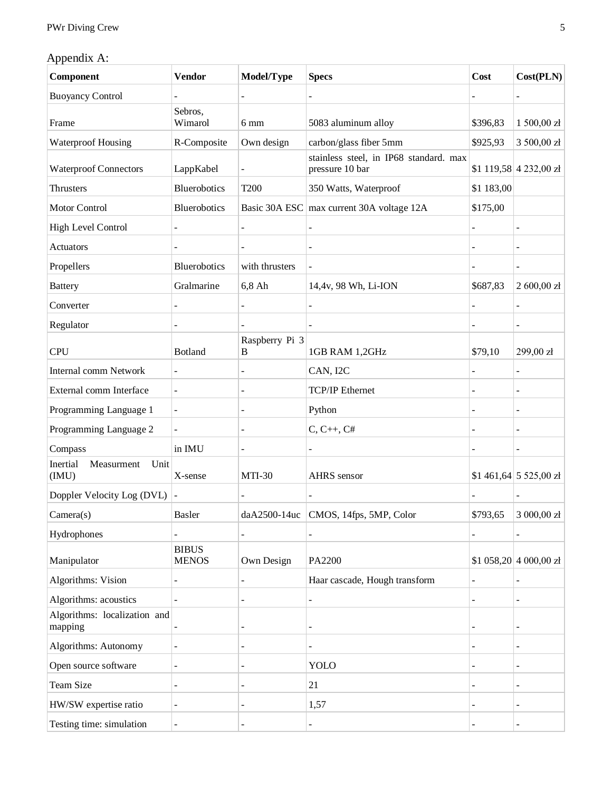# Appendix A:

| Component                               | <b>Vendor</b>                | Model/Type               | <b>Specs</b>                                              | Cost       | Cost(PLN)                       |
|-----------------------------------------|------------------------------|--------------------------|-----------------------------------------------------------|------------|---------------------------------|
| <b>Buoyancy Control</b>                 |                              | ÷,                       |                                                           |            |                                 |
| Frame                                   | Sebros,<br>Wimarol           | 6 mm                     | 5083 aluminum alloy                                       | \$396,83   | 1 500,00 zł                     |
| <b>Waterproof Housing</b>               | R-Composite                  | Own design               | carbon/glass fiber 5mm                                    | \$925,93   | 3 500,00 zł                     |
| <b>Waterproof Connectors</b>            | LappKabel                    | $\overline{\phantom{0}}$ | stainless steel, in IP68 standard. max<br>pressure 10 bar |            | $$1 119,58 \mid 4 232,00 \n 21$ |
| <b>Thrusters</b>                        | Bluerobotics                 | <b>T200</b>              | 350 Watts, Waterproof                                     | \$1 183,00 |                                 |
| Motor Control                           | Bluerobotics                 |                          | Basic 30A ESC max current 30A voltage 12A                 | \$175,00   |                                 |
| <b>High Level Control</b>               |                              | ÷,                       |                                                           |            |                                 |
| Actuators                               |                              | ÷,                       |                                                           |            |                                 |
| Propellers                              | Bluerobotics                 | with thrusters           |                                                           |            |                                 |
| <b>Battery</b>                          | Gralmarine                   | 6,8 Ah                   | 14,4v, 98 Wh, Li-ION                                      | \$687,83   | 2 600,00 zł                     |
| Converter                               |                              |                          |                                                           |            |                                 |
| Regulator                               |                              |                          |                                                           |            |                                 |
| <b>CPU</b>                              | <b>Botland</b>               | Raspberry Pi 3<br>B      | 1GB RAM 1,2GHz                                            | \$79,10    | 299,00 zł                       |
| <b>Internal comm Network</b>            |                              |                          | CAN, I2C                                                  |            |                                 |
| External comm Interface                 | $\overline{\phantom{a}}$     |                          | <b>TCP/IP Ethernet</b>                                    |            |                                 |
| Programming Language 1                  |                              |                          | Python                                                    |            |                                 |
| Programming Language 2                  |                              |                          | $C, C++, C#$                                              |            |                                 |
| Compass                                 | in IMU                       |                          |                                                           |            |                                 |
| Inertial<br>Measurment<br>Unit<br>(IMU) | X-sense                      | <b>MTI-30</b>            | AHRS sensor                                               |            | $$1461,64 \mid 5525,00 \n 21$   |
| Doppler Velocity Log (DVL)              |                              |                          |                                                           |            |                                 |
| Camera(s)                               | Basler                       |                          | $daA2500-14uc$ CMOS, 14fps, 5MP, Color                    | \$793,65   | 3000,00 z                       |
| Hydrophones                             |                              |                          |                                                           |            |                                 |
| Manipulator                             | <b>BIBUS</b><br><b>MENOS</b> | Own Design               | PA2200                                                    |            | \$1 058,20 4 000,00 zł          |
| Algorithms: Vision                      |                              | ÷                        | Haar cascade, Hough transform                             |            |                                 |
| Algorithms: acoustics                   |                              |                          |                                                           |            |                                 |
| Algorithms: localization and<br>mapping |                              | ÷                        |                                                           |            |                                 |
| Algorithms: Autonomy                    |                              |                          |                                                           |            |                                 |
| Open source software                    |                              |                          | YOLO                                                      |            |                                 |
| Team Size                               | ÷.                           | ÷                        | 21                                                        | ÷          | $\equiv$                        |
| HW/SW expertise ratio                   | L,                           | ÷,                       | 1,57                                                      |            |                                 |
| Testing time: simulation                |                              |                          |                                                           |            |                                 |